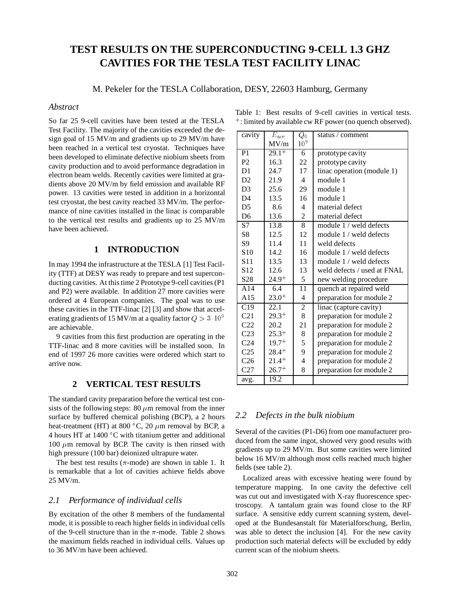# **TEST RESULTS ON THE SUPERCONDUCTING 9-CELL 1.3 GHZ CAVITIES FOR THE TESLA TEST FACILITY LINAC**

M. Pekeler for the TESLA Collaboration, DESY, 22603 Hamburg, Germany

## *Abstract*

So far 25 9-cell cavities have been tested at the TESLA Test Facility. The majority of the cavities exceeded the design goal of 15 MV/m and gradients up to 29 MV/m have been reached in a vertical test cryostat. Techniques have been developed to eliminate defective niobium sheets from cavity production and to avoid performance degradation in electron beam welds. Recently cavities were limited at gradients above 20 MV/m by field emission and available RF power. 13 cavities were tested in addition in a horizontal test cryostat, the best cavity reached 33 MV/m. The performance of nine cavities installed in the linac is comparable to the vertical test results and gradients up to 25 MV/m have been achieved.

# **1 INTRODUCTION**

In may 1994 the infrastructure at the TESLA [1] Test Facility (TTF) at DESY was ready to prepare and test superconducting cavities. At this time 2 Prototype 9-cell cavities (P1 and P2) were available. In addition 27 more cavities were ordered at 4 European companies. The goal was to use these cavities in the TTF-linac [2] [3] and show that accelerating gradients of 15 MV/m at a quality factor  $Q > 3 \cdot 10^9$ are achievable.

9 cavities from this first production are operating in the TTF-linac and 8 more cavities will be installed soon. In end of 1997 26 more cavities were ordered which start to arrive now.

# **2 VERTICAL TEST RESULTS**

The standard cavity preparation before the vertical test consists of the following steps: 80  $\mu$ m removal from the inner surface by buffered chemical polishing (BCP), a 2 hours heat-treatment (HT) at 800  $^{\circ}$ C, 20  $\mu$ m removal by BCP, a 4 hours HT at  $1400\,^{\circ}$ C with titanium getter and additional 100  $\mu$ m removal by BCP. The cavity is then rinsed with high pressure (100 bar) deionized ultrapure water.

The best test results ( $\pi$ -mode) are shown in table 1. It is remarkable that a lot of cavities achieve fields above 25 MV/m.

#### *2.1 Performance of individual cells*

By excitation of the other 8 members of the fundamental mode, it is possible to reach higher fields in individual cells of the 9-cell structure than in the  $\pi$ -mode. Table 2 shows the maximum fields reached in individual cells. Values up to 36 MV/m have been achieved.

| cavity          | $\overline{E}_{\text{acc}}$ | $Q_{\,0}$       | status / comment            |
|-----------------|-----------------------------|-----------------|-----------------------------|
|                 | MV/m                        | 10 <sup>9</sup> |                             |
| P <sub>1</sub>  | $29.1^{+}$                  | 6               | prototype cavity            |
| P <sub>2</sub>  | 16.3                        | 22              | prototype cavity            |
| D <sub>1</sub>  | 24.7                        | 17              | linac operation (module 1)  |
| D2              | 21.9                        | $\overline{4}$  | module 1                    |
| D <sub>3</sub>  | 25.6                        | 29              | module 1                    |
| D <sub>4</sub>  | 13.5                        | 16              | module 1                    |
| D <sub>5</sub>  | 8.6                         | 4               | material defect             |
| D <sub>6</sub>  | 13.6                        | 2               | material defect             |
| S7              | 13.8                        | 8               | module 1 / weld defects     |
| S8              | 12.5                        | 12              | module 1 / weld defects     |
| S <sub>9</sub>  | 11.4                        | 11              | weld defects                |
| S <sub>10</sub> | 14.2                        | 16              | module 1 / weld defects     |
| S <sub>11</sub> | 13.5                        | 13              | module 1 / weld defects     |
| S <sub>12</sub> | 12.6                        | 13              | weld defects / used at FNAL |
| S <sub>28</sub> | $24.9^{+}$                  | 5               | new welding procedure       |
| A14             | 6.4                         | 11              | quench at repaired weld     |
| A15             | $23.0^{+}$                  | 4               | preparation for module 2    |
| C19             | 22.1                        | 2               | linac (capture cavity)      |
| C <sub>21</sub> | 29.3+                       | 8               | preparation for module 2    |
| C22             | 20.2                        | 21              | preparation for module 2    |
| C <sub>23</sub> | $25.3^{+}$                  | 8               | preparation for module 2    |
| C <sub>24</sub> | $19.7^{+}$                  | 5               | preparation for module 2    |
| C <sub>25</sub> | $28.4+$                     | 9               | preparation for module 2    |
| C <sub>26</sub> | $21.4^{+}$                  | 4               | preparation for module 2    |
| C <sub>27</sub> | $26.7^{+}$                  | 8               | preparation for module 2    |
| avg.            | 19.2                        |                 |                             |

Table 1: Best results of 9-cell cavities in vertical tests. <sup>+</sup> : limited by available cw RF power (no quench observed).

#### *2.2 Defects in the bulk niobium*

Several of the cavities (P1-D6) from one manufacturer produced from the same ingot, showed very good results with gradients up to 29 MV/m. But some cavities were limited below 16 MV/m although most cells reached much higher fields (see table 2).

Localized areas with excessive heating were found by temperature mapping. In one cavity the defective cell was cut out and investigated with X-ray fluorescence spectroscopy. A tantalum grain was found close to the RF surface. A sensitive eddy current scanning system, developed at the Bundesanstalt für Materialforschung, Berlin, was able to detect the inclusion [4]. For the new cavity production such material defects will be excluded by eddy current scan of the niobium sheets.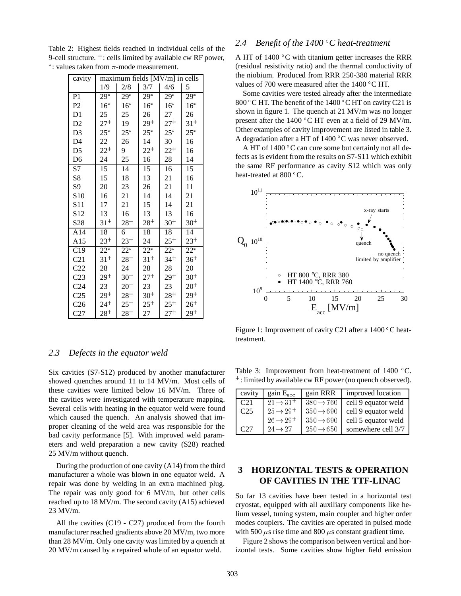Table 2: Highest fields reached in individual cells of the 9-cell structure. <sup>+</sup> : cells limited by available cw RF power,  $*$ : values taken from  $\pi$ -mode measurement.

| cavity          | maximum fields [MV/m] in cells |                   |          |                   |          |
|-----------------|--------------------------------|-------------------|----------|-------------------|----------|
|                 | 1/9                            | 2/8               | 3/7      | 4/6               | 5        |
| P <sub>1</sub>  | $29*$                          | $29^{*}$          | $29*$    | $29^{*}$          | $29*$    |
| P <sub>2</sub>  | $16*$                          | $16*$             | $16^*$   | $16^*$            | $16*$    |
| D <sub>1</sub>  | 25                             | 25                | 26       | 27                | 26       |
| D2              | $27^{+}$                       | 19                | $29^{+}$ | $27^{+}$          | $31^{+}$ |
| D <sub>3</sub>  | $25*$                          | $25*$             | $25*$    | $25*$             | $25*$    |
| D <sub>4</sub>  | 22                             | 26                | 14       | 30                | 16       |
| D <sub>5</sub>  | $22^{+}$                       | 9                 | $22^{+}$ | $22^{+}$          | 16       |
| D <sub>6</sub>  | 24                             | 25                | 16       | 28                | 14       |
| S7              | 15                             | 14                | 15       | 16                | 15       |
| S8              | 15                             | 18                | 13       | 21                | 16       |
| S <sub>9</sub>  | 20                             | 23                | 26       | 21                | 11       |
| S <sub>10</sub> | 16                             | 21                | 14       | 14                | 21       |
| S11             | 17                             | 21                | 15       | 14                | 21       |
| S <sub>12</sub> | 13                             | 16                | 13       | 13                | 16       |
| S28             | $31^{+}$                       | $28^{+}$          | $28^{+}$ | $30^{+}$          | $30^{+}$ |
| A14             | 18                             | 6                 | 18       | 18                | 14       |
| A15             | $23^{+}$                       | $23^{+}$          | 24       | $25^{+}$          | $23^{+}$ |
| C19             | $\overline{22^*}$              | $\overline{22^*}$ | $22^{*}$ | $2\overline{2^*}$ | $22^{*}$ |
| C <sub>21</sub> | $31^{+}$                       | 28†               | $31^{+}$ | $34^{+}$          | $36^{+}$ |
| C22             | 28                             | 24                | 28       | 28                | 20       |
| C <sub>23</sub> | $29^{+}$                       | $30^{+}$          | $27^{+}$ | $29^{+}$          | $30^{+}$ |
| C <sub>24</sub> | 23                             | $20^{+}$          | 23       | 23                | $20^{+}$ |
| C <sub>25</sub> | $29^{+}$                       | $28^{+}$          | $30^{+}$ | $28^{+}$          | $29^{+}$ |
| C <sub>26</sub> | $24^{+}$                       | $25^{+}$          | $25^{+}$ | $25^{+}$          | $26^{+}$ |
| C27             | $28+$                          | $28^{+}$          | 27       | $27^{+}$          | 29+      |

## *2.3 Defects in the equator weld*

Six cavities (S7-S12) produced by another manufacturer showed quenches around 11 to 14 MV/m. Most cells of these cavities were limited below 16 MV/m. Three of the cavities were investigated with temperature mapping. Several cells with heating in the equator weld were found which caused the quench. An analysis showed that improper cleaning of the weld area was responsible for the bad cavity performance [5]. With improved weld parameters and weld preparation a new cavity (S28) reached 25 MV/m without quench.

During the production of one cavity (A14) from the third manufacturer a whole was blown in one equator weld. A repair was done by welding in an extra machined plug. The repair was only good for 6 MV/m, but other cells reached up to 18 MV/m. The second cavity (A15) achieved 23 MV/m.

All the cavities (C19 - C27) produced from the fourth manufacturer reached gradients above 20 MV/m, two more than 28 MV/m. Only one cavity was limited by a quench at 20 MV/m caused by a repaired whole of an equator weld.

## *2.4 Benefit of the 1400 C heat-treatment*

A HT of 1400 C with titanium getter increases the RRR (residual resistivity ratio) and the thermal conductivity of the niobium. Produced from RRR 250-380 material RRR values of 700 were measured after the 1400 °C HT.

Some cavities were tested already after the intermediate 800 °C HT. The benefit of the  $1400$  °C HT on cavity C21 is shown in figure 1. The quench at 21 MV/m was no longer present after the 1400 C HT even at a field of 29 MV/m. Other examples of cavity improvement are listed in table 3. A degradation after a HT of 1400 °C was never observed.

A HT of 1400 °C can cure some but certainly not all defects as is evident from the results on S7-S11 which exhibit the same RF performance as cavity S12 which was only heat-treated at 800 °C.



Figure 1: Improvement of cavity C21 after a 1400 °C heattreatment.

Table 3: Improvement from heat-treatment of 1400 °C. <sup>+</sup> : limited by available cw RF power (no quench observed).

| cavity | gain $E_{\text{acc}}$ | gain RRR              | improved location   |
|--------|-----------------------|-----------------------|---------------------|
| C21    | $21 \rightarrow 31^+$ | $380 \rightarrow 760$ | cell 9 equator weld |
| C25    | $25 \rightarrow 29^+$ | $350 \rightarrow 690$ | cell 9 equator weld |
|        | $26 \rightarrow 29^+$ | $350 \rightarrow 690$ | cell 5 equator weld |
| C27    | $24 \rightarrow 27$   | $250 \rightarrow 650$ | somewhere cell 3/7  |

# **3 HORIZONTAL TESTS & OPERATION OF CAVITIES IN THE TTF-LINAC**

So far 13 cavities have been tested in a horizontal test cryostat, equipped with all auxiliary components like helium vessel, tuning system, main coupler and higher order modes couplers. The cavities are operated in pulsed mode with 500  $\mu$ s rise time and 800  $\mu$ s constant gradient time.

Figure 2 shows the comparison between vertical and horizontal tests. Some cavities show higher field emission